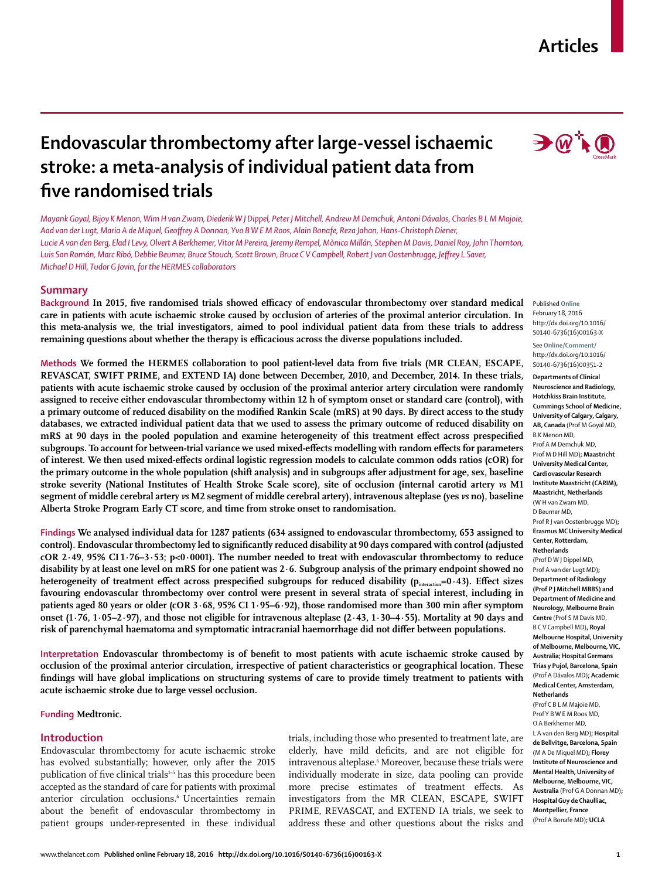# **Articles**



# **Endovascular thrombectomy after large-vessel ischaemic stroke: a meta-analysis of individual patient data from fi ve randomised trials**

*Mayank Goyal, Bijoy K Menon, Wim H van Zwam, Diederik W J Dippel, Peter J Mitchell, Andrew M Demchuk, Antoni Dávalos, Charles B L M Majoie, Aad van der Lugt, Maria A de Miquel, Geoff rey A Donnan, Yvo B W E M Roos, Alain Bonafe, Reza Jahan, Hans-Christoph Diener, Lucie A van den Berg, Elad I Levy, Olvert A Berkhemer, Vitor M Pereira, Jeremy Rempel, Mònica Millán, Stephen M Davis, Daniel Roy, John Thornton,*  Luis San Román, Marc Ribó, Debbie Beumer, Bruce Stouch, Scott Brown, Bruce CV Campbell, Robert J van Oostenbrugge, Jeffrey L Saver, *Michael D Hill, Tudor G Jovin, for the HERMES collaborators*

# **Summary**

Background In 2015, five randomised trials showed efficacy of endovascular thrombectomy over standard medical **care in patients with acute ischaemic stroke caused by occlusion of arteries of the proximal anterior circulation. In this meta-analysis we, the trial investigators, aimed to pool individual patient data from these trials to address remaining questions about whether the therapy is efficacious across the diverse populations included.**

**Methods** We formed the HERMES collaboration to pool patient-level data from five trials (MR CLEAN, ESCAPE, **REVASCAT, SWIFT PRIME, and EXTEND IA) done between December, 2010, and December, 2014. In these trials, patients with acute ischaemic stroke caused by occlusion of the proximal anterior artery circulation were randomly assigned to receive either endovascular thrombectomy within 12 h of symptom onset or standard care (control), with**  a primary outcome of reduced disability on the modified Rankin Scale (mRS) at 90 days. By direct access to the study **databases, we extracted individual patient data that we used to assess the primary outcome of reduced disability on**  mRS at 90 days in the pooled population and examine heterogeneity of this treatment effect across prespecified subgroups. To account for between-trial variance we used mixed-effects modelling with random effects for parameters of interest. We then used mixed-effects ordinal logistic regression models to calculate common odds ratios (cOR) for **the primary outcome in the whole population (shift analysis) and in subgroups after adjustment for age, sex, baseline stroke severity (National Institutes of Health Stroke Scale score), site of occlusion (internal carotid artery** *vs* **M1 segment of middle cerebral artery** *vs* **M2 segment of middle cerebral artery), intravenous alteplase (yes** *vs* **no), baseline Alberta Stroke Program Early CT score, and time from stroke onset to randomisation.** 

**Findings We analysed individual data for 1287 patients (634 assigned to endovascular thrombectomy, 653 assigned to control). Endovascular thrombectomy led to significantly reduced disability at 90 days compared with control (adjusted cOR 2·49, 95% CI 1·76–3·53; p<0·0001). The number needed to treat with endovascular thrombectomy to reduce disability by at least one level on mRS for one patient was 2·6. Subgroup analysis of the primary endpoint showed no**  heterogeneity of treatment effect across prespecified subgroups for reduced disability (p<sub>interaction</sub>=0·43). Effect sizes **favouring endovascular thrombectomy over control were present in several strata of special interest, including in patients aged 80 years or older (cOR 3·68, 95% CI 1·95–6·92), those randomised more than 300 min after symptom onset (1·76, 1·05–2·97), and those not eligible for intravenous alteplase (2·43, 1·30–4·55). Mortality at 90 days and**  risk of parenchymal haematoma and symptomatic intracranial haemorrhage did not differ between populations.

Interpretation Endovascular thrombectomy is of benefit to most patients with acute ischaemic stroke caused by **occlusion of the proximal anterior circulation, irrespective of patient characteristics or geographical location. These findings will have global implications on structuring systems of care to provide timely treatment to patients with acute ischaemic stroke due to large vessel occlusion.**

## **Funding Medtronic.**

### **Introduction**

Endovascular thrombectomy for acute ischaemic stroke has evolved substantially; however, only after the 2015 publication of five clinical trials<sup>1-5</sup> has this procedure been accepted as the standard of care for patients with proximal anterior circulation occlusions.<sup>6</sup> Uncertainties remain about the benefit of endovascular thrombectomy in patient groups under-represented in these individual

trials, including those who presented to treatment late, are elderly, have mild deficits, and are not eligible for intravenous alteplase.<sup>6</sup> Moreover, because these trials were individually moderate in size, data pooling can provide more precise estimates of treatment effects. As investigators from the MR CLEAN, ESCAPE, SWIFT PRIME, REVASCAT, and EXTEND IA trials, we seek to address these and other questions about the risks and

Published **Online** February 18, 2016 http://dx.doi.org/10.1016/ S0140-6736(16)00163-X

See **Online/Comment/** http://dx.doi.org/10.1016/ S0140-6736(16)00351-2

**Departments of Clinical Neuroscience and Radiology, Hotchkiss Brain Institute, Cummings School of Medicine, University of Calgary, Calgary, AB, Canada** (Prof M Goyal MD, B K Menon MD, Prof A M Demchuk MD, Prof M D Hill MD)**; Maastricht University Medical Center, Cardiovascular Research Institute Maastricht (CARIM), Maastricht, Netherlands** (W H van Zwam MD, D Beumer MD, Prof R J van Oostenbrugge MD)**; Erasmus MC University Medical** 

**Center, Rotterdam,** 

**Netherlands**  (Prof D W J Dippel MD, Prof A van der Lugt MD)**; Department of Radiology (Prof P J Mitchell MBBS) and Department of Medicine and Neurology, Melbourne Brain Centre** (Prof S M Davis MD, B C V Campbell MD)**, Royal Melbourne Hospital, University of Melbourne, Melbourne, VIC, Australia; Hospital Germans Trias y Pujol, Barcelona, Spain**  (Prof A Dávalos MD)**; Academic Medical Center, Amsterdam, Netherlands** 

(Prof C B L M Majoie MD, Prof Y B W E M Roos MD, O A Berkhemer MD, L A van den Berg MD)**; Hospital de Bellvitge, Barcelona, Spain** (M A De Miquel MD)**; Florey Institute of Neuroscience and Mental Health, University of Melbourne, Melbourne, VIC, Australia** (Prof G A Donnan MD)**; Hospital Guy de Chaulliac, Montpellier, France** (Prof A Bonafe MD)**; UCLA**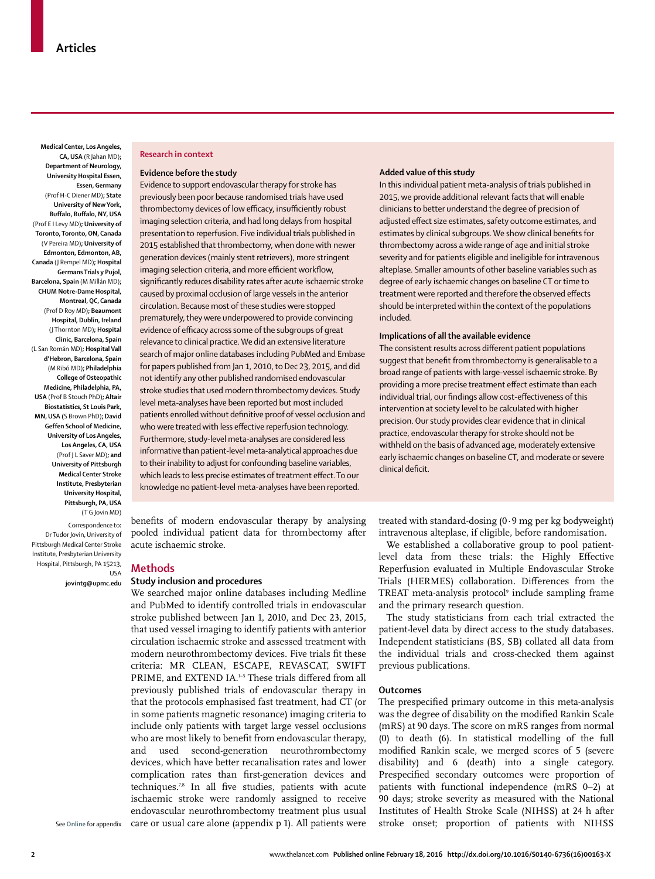**Medical Center, Los Angeles, CA, USA** (R Jahan MD)**; Department of Neurology, University Hospital Essen, Essen, Germany**  (Prof H-C Diener MD)**; State University of New York, Buffalo, Buffalo, NY, USA**  (Prof E I Levy MD)**; University of Toronto, Toronto, ON, Canada** (V Pereira MD)**; University of Edmonton, Edmonton, AB, Canada** (J Rempel MD)**; Hospital Germans Trials y Pujol, Barcelona, Spain** (M Millán MD)**; CHUM Notre-Dame Hospital, Montreal, QC, Canada** (Prof D Roy MD)**; Beaumont Hospital, Dublin, Ireland** (J Thornton MD)**; Hospital Clinic, Barcelona, Spain** (L San Román MD)**; Hospital Vall d'Hebron, Barcelona, Spain** (M Ribó MD)**; Philadelphia College of Osteopathic Medicine, Philadelphia, PA, USA** (Prof B Stouch PhD)**; Altair Biostatistics, St Louis Park, MN, USA (**S Brown PhD)**; David Geffen School of Medicine, University of Los Angeles, Los Angeles, CA, USA** (Prof J L Saver MD)**; and University of Pittsburgh Medical Center Stroke Institute, Presbyterian University Hospital, Pittsburgh, PA, USA** (T G Jovin MD)

Correspondence to**:** Dr Tudor Jovin, University of Pittsburgh Medical Center Stroke Institute, Presbyterian University Hospital, Pittsburgh, PA 15213, USA

**jovintg@upmc.edu**

#### **Research in context**

### **Evidence before the study**

Evidence to support endovascular therapy for stroke has previously been poor because randomised trials have used thrombectomy devices of low efficacy, insufficiently robust imaging selection criteria, and had long delays from hospital presentation to reperfusion. Five individual trials published in 2015 established that thrombectomy, when done with newer generation devices (mainly stent retrievers), more stringent imaging selection criteria, and more efficient workflow, significantly reduces disability rates after acute ischaemic stroke caused by proximal occlusion of large vessels in the anterior circulation. Because most of these studies were stopped prematurely, they were underpowered to provide convincing evidence of efficacy across some of the subgroups of great relevance to clinical practice. We did an extensive literature search of major online databases including PubMed and Embase for papers published from Jan 1, 2010, to Dec 23, 2015, and did not identify any other published randomised endovascular stroke studies that used modern thrombectomy devices. Study level meta-analyses have been reported but most included patients enrolled without definitive proof of vessel occlusion and who were treated with less effective reperfusion technology. Furthermore, study-level meta-analyses are considered less informative than patient-level meta-analytical approaches due to their inability to adjust for confounding baseline variables, which leads to less precise estimates of treatment effect. To our knowledge no patient-level meta-analyses have been reported.

benefits of modern endovascular therapy by analysing pooled individual patient data for thrombectomy after acute ischaemic stroke.

### **Methods**

## **Study inclusion and procedures**

We searched major online databases including Medline and PubMed to identify controlled trials in endovascular stroke published between Jan 1, 2010, and Dec 23, 2015, that used vessel imaging to identify patients with anterior circulation ischaemic stroke and assessed treatment with modern neurothrombectomy devices. Five trials fit these criteria: MR CLEAN, ESCAPE, REVASCAT, SWIFT PRIME, and EXTEND IA.<sup>1-5</sup> These trials differed from all previously published trials of endovascular therapy in that the protocols emphasised fast treatment, had CT (or in some patients magnetic resonance) imaging criteria to include only patients with target large vessel occlusions who are most likely to benefit from endovascular therapy, and used second-generation neurothrombectomy devices, which have better recanalisation rates and lower complication rates than first-generation devices and techniques.<sup>7,8</sup> In all five studies, patients with acute ischaemic stroke were randomly assigned to receive endovascular neurothrombectomy treatment plus usual care or usual care alone (appendix p 1). All patients were

#### **Added value of this study**

In this individual patient meta-analysis of trials published in 2015, we provide additional relevant facts that will enable clinicians to better understand the degree of precision of adjusted effect size estimates, safety outcome estimates, and estimates by clinical subgroups. We show clinical benefits for thrombectomy across a wide range of age and initial stroke severity and for patients eligible and ineligible for intravenous alteplase. Smaller amounts of other baseline variables such as degree of early ischaemic changes on baseline CT or time to treatment were reported and therefore the observed effects should be interpreted within the context of the populations included.

#### **Implications of all the available evidence**

The consistent results across different patient populations suggest that benefit from thrombectomy is generalisable to a broad range of patients with large-vessel ischaemic stroke. By providing a more precise treatment effect estimate than each individual trial, our findings allow cost-effectiveness of this intervention at society level to be calculated with higher precision. Our study provides clear evidence that in clinical practice, endovascular therapy for stroke should not be withheld on the basis of advanced age, moderately extensive early ischaemic changes on baseline CT, and moderate or severe clinical deficit.

treated with standard-dosing (0·9 mg per kg bodyweight) intravenous alteplase, if eligible, before randomisation.

We established a collaborative group to pool patientlevel data from these trials: the Highly Effective Reperfusion evaluated in Multiple Endovascular Stroke Trials (HERMES) collaboration. Differences from the TREAT meta-analysis protocol<sup>9</sup> include sampling frame and the primary research question.

The study statisticians from each trial extracted the patient-level data by direct access to the study databases. Independent statisticians (BS, SB) collated all data from the individual trials and cross-checked them against previous publications.

#### **Outcomes**

The prespecified primary outcome in this meta-analysis was the degree of disability on the modified Rankin Scale (mRS) at 90 days. The score on mRS ranges from normal (0) to death (6). In statistical modelling of the full modified Rankin scale, we merged scores of 5 (severe disability) and 6 (death) into a single category. Prespecified secondary outcomes were proportion of patients with functional independence (mRS 0–2) at 90 days; stroke severity as measured with the National Institutes of Health Stroke Scale (NIHSS) at 24 h after stroke onset; proportion of patients with NIHSS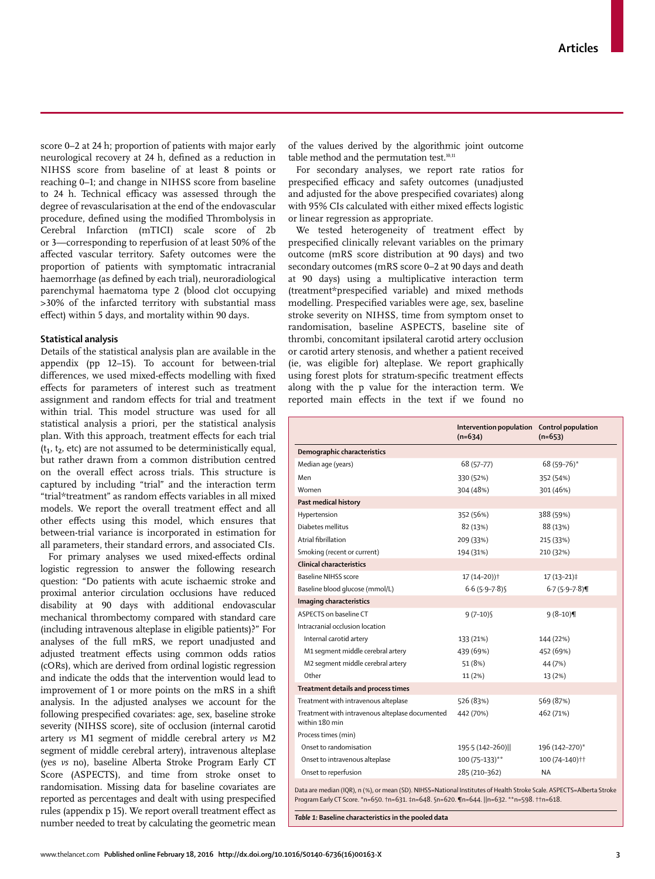score 0–2 at 24 h; proportion of patients with major early neurological recovery at 24 h, defined as a reduction in NIHSS score from baseline of at least 8 points or reaching 0–1; and change in NIHSS score from baseline to 24 h. Technical efficacy was assessed through the degree of revascularisation at the end of the endovascular procedure, defined using the modified Thrombolysis in Cerebral Infarction (mTICI) scale score of 2b or 3—corresponding to reperfusion of at least 50% of the affected vascular territory. Safety outcomes were the proportion of patients with symptomatic intracranial haemorrhage (as defined by each trial), neuroradiological parenchymal haematoma type 2 (blood clot occupying >30% of the infarcted territory with substantial mass effect) within 5 days, and mortality within 90 days.

## **Statistical analysis**

Details of the statistical analysis plan are available in the appendix (pp 12–15). To account for between-trial differences, we used mixed-effects modelling with fixed effects for parameters of interest such as treatment assignment and random effects for trial and treatment within trial. This model structure was used for all statistical analysis a priori, per the statistical analysis plan. With this approach, treatment effects for each trial  $(t_1, t_2, \text{ etc})$  are not assumed to be deterministically equal, but rather drawn from a common distribution centred on the overall effect across trials. This structure is captured by including "trial" and the interaction term "trial\*treatment" as random effects variables in all mixed models. We report the overall treatment effect and all other effects using this model, which ensures that between-trial variance is incorporated in estimation for all parameters, their standard errors, and associated CIs.

For primary analyses we used mixed-effects ordinal logistic regression to answer the following research question: "Do patients with acute ischaemic stroke and proximal anterior circulation occlusions have reduced disability at 90 days with additional endovascular mechanical thrombectomy compared with standard care (including intravenous alteplase in eligible patients)?" For analyses of the full mRS, we report unadjusted and adjusted treatment effects using common odds ratios (cORs), which are derived from ordinal logistic regression and indicate the odds that the intervention would lead to improvement of 1 or more points on the mRS in a shift analysis. In the adjusted analyses we account for the following prespecified covariates: age, sex, baseline stroke severity (NIHSS score), site of occlusion (internal carotid artery *vs* M1 segment of middle cerebral artery *vs* M2 segment of middle cerebral artery), intravenous alteplase (yes *vs* no), baseline Alberta Stroke Program Early CT Score (ASPECTS), and time from stroke onset to randomisation. Missing data for baseline covariates are reported as percentages and dealt with using prespecified rules (appendix p 15). We report overall treatment effect as number needed to treat by calculating the geometric mean of the values derived by the algorithmic joint outcome table method and the permutation test.<sup>10,11</sup>

For secondary analyses, we report rate ratios for prespecified efficacy and safety outcomes (unadjusted and adjusted for the above prespecified covariates) along with 95% CIs calculated with either mixed effects logistic or linear regression as appropriate.

We tested heterogeneity of treatment effect by prespecified clinically relevant variables on the primary outcome (mRS score distribution at 90 days) and two secondary outcomes (mRS score 0–2 at 90 days and death at 90 days) using a multiplicative interaction term (treatment\*prespecified variable) and mixed methods modelling. Prespecified variables were age, sex, baseline stroke severity on NIHSS, time from symptom onset to randomisation, baseline ASPECTS, baseline site of thrombi, concomitant ipsilateral carotid artery occlusion or carotid artery stenosis, and whether a patient received (ie, was eligible for) alteplase. We report graphically using forest plots for stratum-specific treatment effects along with the p value for the interaction term. We reported main effects in the text if we found no

|                                                                                                                                                                                                                    | Intervention population Control population<br>$(n=634)$ | $(n=653)$        |
|--------------------------------------------------------------------------------------------------------------------------------------------------------------------------------------------------------------------|---------------------------------------------------------|------------------|
| Demographic characteristics                                                                                                                                                                                        |                                                         |                  |
| Median age (years)                                                                                                                                                                                                 | 68 (57-77)                                              | 68 (59-76)*      |
| Men                                                                                                                                                                                                                | 330 (52%)                                               | 352 (54%)        |
| Women                                                                                                                                                                                                              | 304 (48%)                                               | 301 (46%)        |
| Past medical history                                                                                                                                                                                               |                                                         |                  |
| Hypertension                                                                                                                                                                                                       | 352 (56%)                                               | 388 (59%)        |
| Diabetes mellitus                                                                                                                                                                                                  | 82 (13%)                                                | 88 (13%)         |
| Atrial fibrillation                                                                                                                                                                                                | 209 (33%)                                               | 215 (33%)        |
| Smoking (recent or current)                                                                                                                                                                                        | 194 (31%)                                               | 210 (32%)        |
| Clinical characteristics                                                                                                                                                                                           |                                                         |                  |
| <b>Baseline NIHSS score</b>                                                                                                                                                                                        | 17 (14-20)) <sup>†</sup>                                | $17(13-21)$      |
| Baseline blood glucose (mmol/L)                                                                                                                                                                                    | $6.6(5.9 - 7.8)$                                        | $6.7(5.9 - 7.8)$ |
| Imaging characteristics                                                                                                                                                                                            |                                                         |                  |
| ASPECTS on baseline CT                                                                                                                                                                                             | $9(7-10)$                                               | $9(8-10)$        |
| Intracranial occlusion location                                                                                                                                                                                    |                                                         |                  |
| Internal carotid artery                                                                                                                                                                                            | 133 (21%)                                               | 144 (22%)        |
| M1 segment middle cerebral artery                                                                                                                                                                                  | 439 (69%)                                               | 452 (69%)        |
| M2 segment middle cerebral artery                                                                                                                                                                                  | 51 (8%)                                                 | 44 (7%)          |
| Other                                                                                                                                                                                                              | 11 (2%)                                                 | 13 (2%)          |
| Treatment details and process times                                                                                                                                                                                |                                                         |                  |
| Treatment with intravenous alteplase                                                                                                                                                                               | 526 (83%)                                               | 569 (87%)        |
| Treatment with intravenous alteplase documented<br>within 180 min                                                                                                                                                  | 442 (70%)                                               | 462 (71%)        |
| Process times (min)                                                                                                                                                                                                |                                                         |                  |
| Onset to randomisation                                                                                                                                                                                             | 195.5 (142-260)                                         | 196 (142-270)*   |
| Onset to intravenous alteplase                                                                                                                                                                                     | 100 (75-133)**                                          | 100 (74-140) ††  |
| Onset to reperfusion                                                                                                                                                                                               | 285 (210-362)                                           | <b>NA</b>        |
| Data are median (IQR), n (%), or mean (SD). NIHSS=National Institutes of Health Stroke Scale. ASPECTS=Alberta Stroke<br>Program Early CT Score. *n=650. +n=631. ‡n=648. §n=620. ¶n=644.   n=632. **n=598. ++n=618. |                                                         |                  |

*Table 1:* **Baseline characteristics in the pooled data**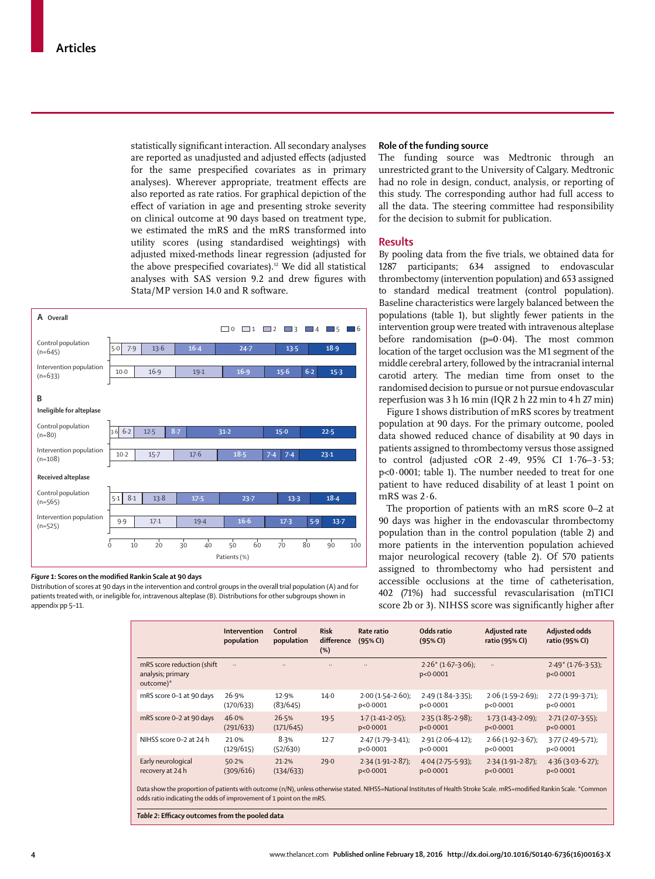statistically significant interaction. All secondary analyses are reported as unadjusted and adjusted effects (adjusted for the same prespecified covariates as in primary analyses). Wherever appropriate, treatment effects are also reported as rate ratios. For graphical depiction of the effect of variation in age and presenting stroke severity on clinical outcome at 90 days based on treatment type, we estimated the mRS and the mRS transformed into utility scores (using standardised weightings) with adjusted mixed-methods linear regression (adjusted for the above prespecified covariates).<sup>12</sup> We did all statistical analyses with SAS version 9.2 and drew figures with Stata/MP version 14.0 and R software.



## Figure 1: Scores on the modified Rankin Scale at 90 days

Distribution of scores at 90 days in the intervention and control groups in the overall trial population (A) and for patients treated with, or ineligible for, intravenous alteplase (B). Distributions for other subgroups shown in appendix pp 5–11.

## **Role of the funding source**

The funding source was Medtronic through an unrestricted grant to the University of Calgary. Medtronic had no role in design, conduct, analysis, or reporting of this study. The corresponding author had full access to all the data. The steering committee had responsibility for the decision to submit for publication.

## **Results**

By pooling data from the five trials, we obtained data for 1287 participants; 634 assigned to endovascular thrombectomy (intervention population) and 653 assigned to standard medical treatment (control population). Baseline characteristics were largely balanced between the populations (table 1), but slightly fewer patients in the intervention group were treated with intravenous alteplase before randomisation  $(p=0.04)$ . The most common location of the target occlusion was the M1 segment of the middle cerebral artery, followed by the intracranial internal carotid artery. The median time from onset to the randomised decision to pursue or not pursue endovascular reperfusion was 3 h 16 min (IQR 2 h 22 min to 4 h 27 min)

Figure 1 shows distribution of mRS scores by treatment population at 90 days. For the primary outcome, pooled data showed reduced chance of disability at 90 days in patients assigned to thrombectomy versus those assigned to control (adjusted cOR 2·49, 95% CI 1·76–3·53; p<0·0001; table 1). The number needed to treat for one patient to have reduced disability of at least 1 point on mRS was 2·6.

The proportion of patients with an mRS score 0–2 at 90 days was higher in the endovascular thrombectomy population than in the control population (table 2) and more patients in the intervention population achieved major neurological recovery (table 2). Of 570 patients assigned to thrombectomy who had persistent and accessible occlusions at the time of catheterisation, 402 (71%) had successful revascularisation (mTICI score 2b or 3). NIHSS score was significantly higher after

|                                                               | Intervention<br>population | Control<br>population | <b>Risk</b><br>difference<br>(%) | Rate ratio<br>(95% CI)              | Odds ratio<br>(95% CI)            | Adjusted rate<br>ratio (95% CI)   | Adjusted odds<br>ratio (95% CI)   |
|---------------------------------------------------------------|----------------------------|-----------------------|----------------------------------|-------------------------------------|-----------------------------------|-----------------------------------|-----------------------------------|
| mRS score reduction (shift)<br>analysis; primary<br>outcome)* | $\ddotsc$                  |                       | $\ddotsc$                        | $\ddot{\phantom{a}}$                | $2.26*(1.67-3.06)$ ;<br>p<0.0001  | $\ldots$                          | $2.49*(1.76-3.53);$<br>p<0.0001   |
| mRS score 0-1 at 90 days                                      | 26.9%<br>(170/633)         | 12.9%<br>(83/645)     | 14.0                             | $2.00(1.54 - 2.60)$ ;<br>p < 0.0001 | $2.49(1.84 - 3.35)$ ;<br>p<0.0001 | $2.06(1.59-2.69)$<br>p<0.0001     | $2.72(1.99-3.71);$<br>p<0.0001    |
| mRS score 0-2 at 90 days                                      | 46.0%<br>(291/633)         | 26.5%<br>(171/645)    | 19.5                             | $1.7(1.41 - 2.05)$ ;<br>p < 0.0001  | $2.35(1.85 - 2.98);$<br>p<0.0001  | $1.73(1.43 - 2.09)$ ;<br>p<0.0001 | $2.71(2.07 - 3.55)$ ;<br>p<0.0001 |
| NIHSS score 0-2 at 24 h                                       | 21.0%<br>(129/615)         | 8.3%<br>(52/630)      | $12 - 7$                         | $2.47(1.79 - 3.41);$<br>p < 0.0001  | $2.91(2.06 - 4.12)$ ;<br>p<0.0001 | $2.66(1.92 - 3.67)$ ;<br>p<0.0001 | $3.77(2.49 - 5.71);$<br>p<0.0001  |
| Early neurological<br>recovery at 24 h                        | 50.2%<br>(309/616)         | 21.2%<br>(134/633)    | 29.0                             | $2.34(1.91-2.87);$<br>p < 0.0001    | $4.04(2.75-5.93);$<br>p<0.0001    | $2.34(1.91 - 2.87);$<br>p<0.0001  | $4.36(3.03-6.27)$ ;<br>p<0.0001   |

Data show the proportion of patients with outcome (n/N), unless otherwise stated. NIHSS=National Institutes of Health Stroke Scale. mRS=modified Rankin Scale. \*Common odds ratio indicating the odds of improvement of 1 point on the mRS.

**Table 2: Efficacy outcomes from the pooled data**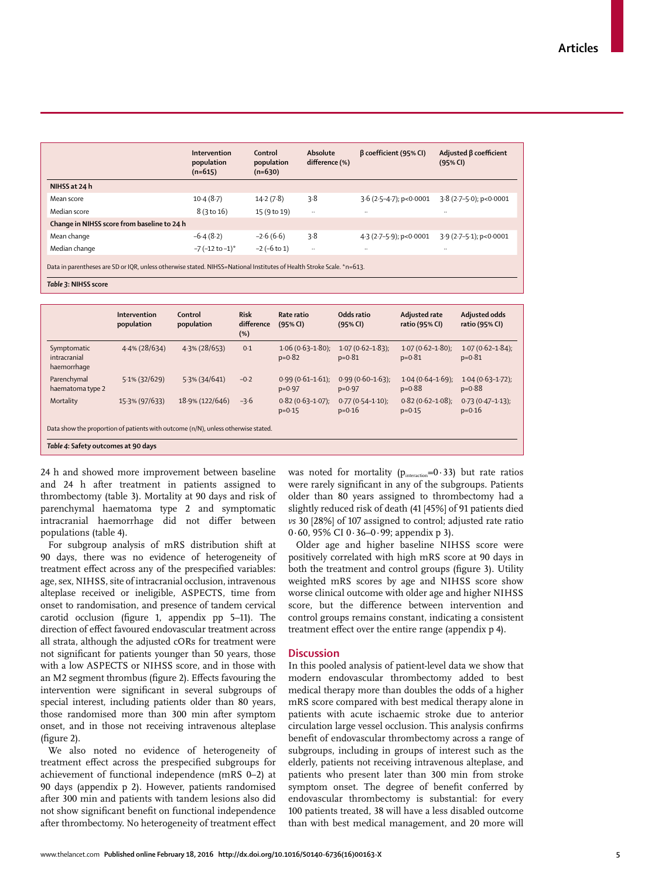|                                                                                                                       | Intervention<br>population<br>$(n=615)$ | Control<br>population<br>$(n=630)$ | Absolute<br>difference (%) | $\beta$ coefficient (95% CI) | Adjusted $\beta$ coefficient<br>(95% CI) |  |  |
|-----------------------------------------------------------------------------------------------------------------------|-----------------------------------------|------------------------------------|----------------------------|------------------------------|------------------------------------------|--|--|
| NIHSS at 24 h                                                                                                         |                                         |                                    |                            |                              |                                          |  |  |
| Mean score                                                                                                            | 10.4(8.7)                               | 14.2(7.8)                          | 3.8                        | $3.6$ (2.5-4.7); p<0.0001    | $3.8(2.7-5.0)$ ; p<0.0001                |  |  |
| Median score                                                                                                          | 8 (3 to 16)                             | 15 (9 to 19)                       | $\ldots$                   | $\cdot\cdot$                 | $\ddotsc$                                |  |  |
| Change in NIHSS score from baseline to 24 h                                                                           |                                         |                                    |                            |                              |                                          |  |  |
| Mean change                                                                                                           | $-6.4(8.2)$                             | $-2.6(6.6)$                        | 3.8                        | 4.3 (2.7-5.9); p<0.0001      | 3.9 (2.7-5.1); p<0.0001                  |  |  |
| Median change                                                                                                         | $-7$ (-12 to -1) <sup>*</sup>           | $-2$ ( $-6$ to 1)                  | $\ddotsc$                  |                              | $\ddotsc$                                |  |  |
| Data in parentheses are SD or IQR, unless otherwise stated. NIHSS=National Institutes of Health Stroke Scale. *n=613. |                                         |                                    |                            |                              |                                          |  |  |

*Table 3***: NIHSS score**

|                                                                                   | Intervention<br>population | Control<br>population | <b>Risk</b><br>difference<br>(%) | Rate ratio<br>(95% CI)             | Odds ratio<br>(95% CI)              | Adjusted rate<br>ratio (95% CI)    | Adjusted odds<br>ratio (95% CI)     |
|-----------------------------------------------------------------------------------|----------------------------|-----------------------|----------------------------------|------------------------------------|-------------------------------------|------------------------------------|-------------------------------------|
| Symptomatic<br>intracranial<br>haemorrhage                                        | $4.4\%$ (28/634)           | $4.3\%$ (28/653)      | 0.1                              | $1.06(0.63 - 1.80);$<br>$p=0.82$   | $1.07(0.62 - 1.83)$ ;<br>$p = 0.81$ | $1.07(0.62 - 1.80);$<br>$p=0.81$   | $1.07(0.62 - 1.84)$ ;<br>$p = 0.81$ |
| Parenchymal<br>haematoma type 2                                                   | $5.1\%$ (32/629)           | 5.3% (34/641)         | $-0.2$                           | $0.99(0.61 - 1.61)$ ;<br>$p=0.97$  | $0.99(0.60 - 1.63)$ ;<br>$p=0.97$   | $1.04(0.64 - 1.69)$ ;<br>$p=0.88$  | $1.04(0.63 - 1.72)$ ;<br>$p=0.88$   |
| Mortality                                                                         | 15.3% (97/633)             | 18.9% (122/646)       | $-3.6$                           | $0.82(0.63 - 1.07);$<br>$p = 0.15$ | $0.77(0.54 - 1.10);$<br>$p = 0.16$  | $0.82(0.62 - 1.08);$<br>$p = 0.15$ | $0.73(0.47 - 1.13);$<br>$p = 0.16$  |
| Data show the proportion of patients with outcome (n/N), unless otherwise stated. |                            |                       |                                  |                                    |                                     |                                    |                                     |
| Table 4: Safety outcomes at 90 days                                               |                            |                       |                                  |                                    |                                     |                                    |                                     |

24 h and showed more improvement between baseline and 24 h after treatment in patients assigned to thrombectomy (table 3). Mortality at 90 days and risk of parenchymal haematoma type 2 and symptomatic intracranial haemorrhage did not differ between populations (table 4).

For subgroup analysis of mRS distribution shift at 90 days, there was no evidence of heterogeneity of treatment effect across any of the prespecified variables: age, sex, NIHSS, site of intracranial occlusion, intravenous alteplase received or ineligible, ASPECTS, time from onset to randomisation, and presence of tandem cervical carotid occlusion (figure 1, appendix pp 5-11). The direction of effect favoured endovascular treatment across all strata, although the adjusted cORs for treatment were not significant for patients younger than 50 years, those with a low ASPECTS or NIHSS score, and in those with an M2 segment thrombus (figure 2). Effects favouring the intervention were significant in several subgroups of special interest, including patients older than 80 years, those randomised more than 300 min after symptom onset, and in those not receiving intravenous alteplase  $(figure 2)$ .

We also noted no evidence of heterogeneity of treatment effect across the prespecified subgroups for achievement of functional independence (mRS 0–2) at 90 days (appendix p 2). However, patients randomised after 300 min and patients with tandem lesions also did not show significant benefit on functional independence after thrombectomy. No heterogeneity of treatment effect was noted for mortality ( $p_{\text{interaction}} = 0.33$ ) but rate ratios were rarely significant in any of the subgroups. Patients older than 80 years assigned to thrombectomy had a slightly reduced risk of death (41 [45%] of 91 patients died *vs* 30 [28%] of 107 assigned to control; adjusted rate ratio 0·60, 95% CI 0·36–0·99; appendix p 3).

Older age and higher baseline NIHSS score were positively correlated with high mRS score at 90 days in both the treatment and control groups (figure 3). Utility weighted mRS scores by age and NIHSS score show worse clinical outcome with older age and higher NIHSS score, but the difference between intervention and control groups remains constant, indicating a consistent treatment effect over the entire range (appendix p 4).

## **Discussion**

In this pooled analysis of patient-level data we show that modern endovascular thrombectomy added to best medical therapy more than doubles the odds of a higher mRS score compared with best medical therapy alone in patients with acute ischaemic stroke due to anterior circulation large vessel occlusion. This analysis confirms benefit of endovascular thrombectomy across a range of subgroups, including in groups of interest such as the elderly, patients not receiving intravenous alteplase, and patients who present later than 300 min from stroke symptom onset. The degree of benefit conferred by endovascular thrombectomy is substantial: for every 100 patients treated, 38 will have a less disabled outcome than with best medical management, and 20 more will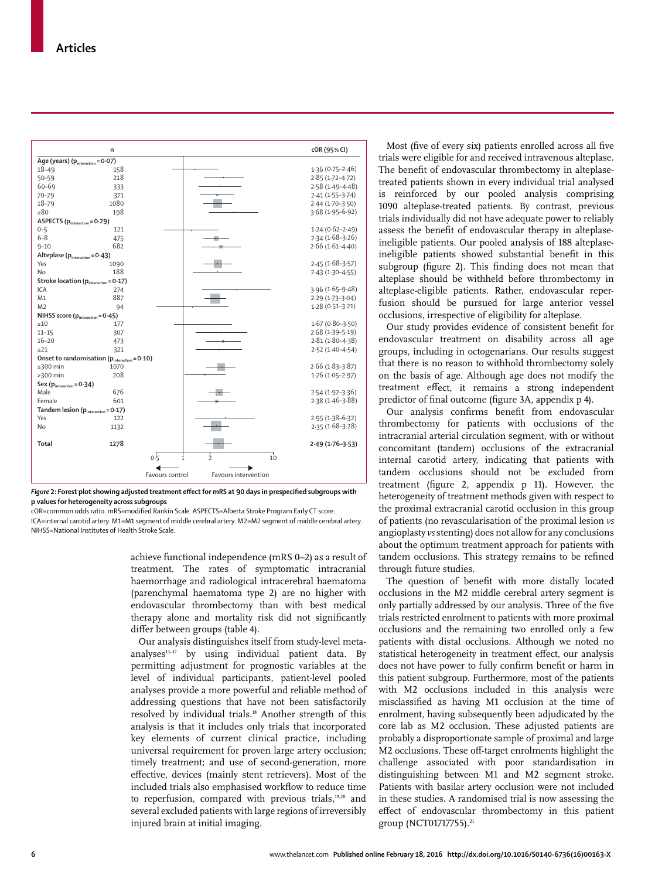

Figure 2: Forest plot showing adjusted treatment effect for mRS at 90 days in prespecified subgroups with **p values for heterogeneity across subgroups**

cOR=common odds ratio. mRS=modifi ed Rankin Scale. ASPECTS=Alberta Stroke Program Early CT score. ICA=internal carotid artery. M1=M1 segment of middle cerebral artery. M2=M2 segment of middle cerebral artery. NIHSS=National Institutes of Health Stroke Scale.

> achieve functional independence (mRS 0–2) as a result of treatment. The rates of symptomatic intracranial haemorrhage and radiological intracerebral haematoma (parenchymal haematoma type 2) are no higher with endovascular thrombectomy than with best medical therapy alone and mortality risk did not significantly differ between groups (table 4).

> Our analysis distinguishes itself from study-level metaanalyses $13-17$  by using individual patient data. By permitting adjustment for prognostic variables at the level of individual participants, patient-level pooled analyses provide a more powerful and reliable method of addressing questions that have not been satisfactorily resolved by individual trials.18 Another strength of this analysis is that it includes only trials that incorporated key elements of current clinical practice, including universal requirement for proven large artery occlusion; timely treatment; and use of second-generation, more effective, devices (mainly stent retrievers). Most of the included trials also emphasised workflow to reduce time to reperfusion, compared with previous trials,<sup>19,20</sup> and several excluded patients with large regions of irreversibly injured brain at initial imaging.

Most (five of every six) patients enrolled across all five trials were eligible for and received intravenous alteplase. The benefit of endovascular thrombectomy in alteplasetreated patients shown in every individual trial analysed is reinforced by our pooled analysis comprising 1090 alteplase-treated patients. By contrast, previous trials individually did not have adequate power to reliably assess the benefit of endovascular therapy in alteplaseineligible patients. Our pooled analysis of 188 alteplaseineligible patients showed substantial benefit in this subgroup (figure 2). This finding does not mean that alteplase should be withheld before thrombectomy in alteplase-eligible patients. Rather, endovascular reperfusion should be pursued for large anterior vessel occlusions, irrespective of eligibility for alteplase.

Our study provides evidence of consistent benefit for endovascular treatment on disability across all age groups, including in octogenarians. Our results suggest that there is no reason to withhold thrombectomy solely on the basis of age. Although age does not modify the treatment effect, it remains a strong independent predictor of final outcome (figure 3A, appendix p 4).

Our analysis confirms benefit from endovascular thrombectomy for patients with occlusions of the intracranial arterial circulation segment, with or without concomitant (tandem) occlusions of the extracranial internal carotid artery, indicating that patients with tandem occlusions should not be excluded from treatment (figure 2, appendix  $p$  11). However, the heterogeneity of treatment methods given with respect to the proximal extracranial carotid occlusion in this group of patients (no revascularisation of the proximal lesion *vs* angioplasty *vs* stenting) does not allow for any conclusions about the optimum treatment approach for patients with tandem occlusions. This strategy remains to be refined through future studies.

The question of benefit with more distally located occlusions in the M2 middle cerebral artery segment is only partially addressed by our analysis. Three of the five trials restricted enrolment to patients with more proximal occlusions and the remaining two enrolled only a few patients with distal occlusions. Although we noted no statistical heterogeneity in treatment effect, our analysis does not have power to fully confirm benefit or harm in this patient subgroup. Furthermore, most of the patients with M2 occlusions included in this analysis were misclassified as having M1 occlusion at the time of enrolment, having subsequently been adjudicated by the core lab as M2 occlusion. These adjusted patients are probably a disproportionate sample of proximal and large M2 occlusions. These off-target enrolments highlight the challenge associated with poor standardisation in distinguishing between M1 and M2 segment stroke. Patients with basilar artery occlusion were not included in these studies. A randomised trial is now assessing the effect of endovascular thrombectomy in this patient group (NCT01717755).<sup>21</sup>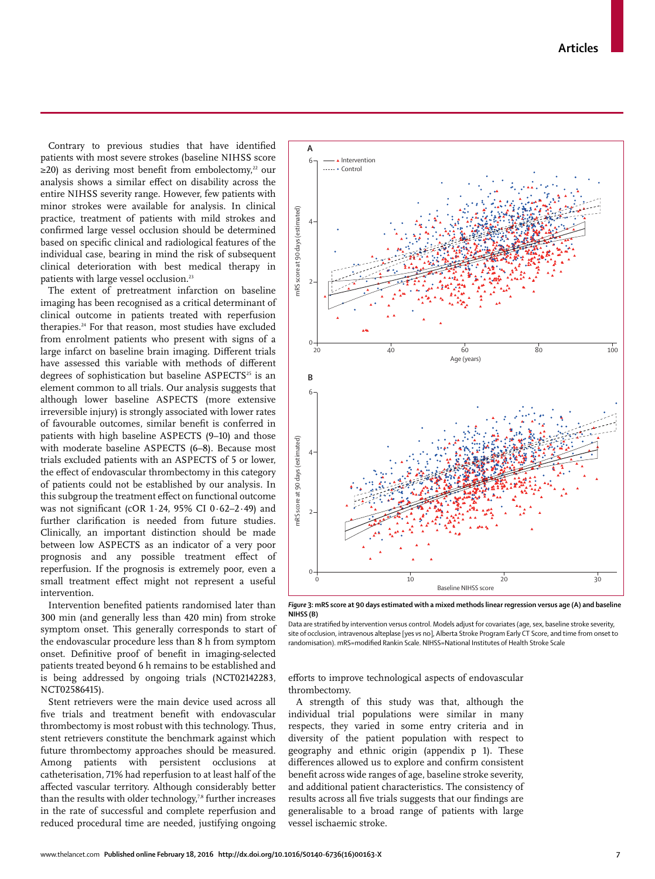**Articles**

Contrary to previous studies that have identified patients with most severe strokes (baseline NIHSS score  $\geq$ 20) as deriving most benefit from embolectomy,<sup>22</sup> our analysis shows a similar effect on disability across the entire NIHSS severity range. However, few patients with minor strokes were available for analysis. In clinical practice, treatment of patients with mild strokes and confirmed large vessel occlusion should be determined based on specific clinical and radiological features of the individual case, bearing in mind the risk of subsequent clinical deterioration with best medical therapy in patients with large vessel occlusion.<sup>23</sup>

The extent of pretreatment infarction on baseline imaging has been recognised as a critical determinant of clinical outcome in patients treated with reperfusion therapies.24 For that reason, most studies have excluded from enrolment patients who present with signs of a large infarct on baseline brain imaging. Different trials have assessed this variable with methods of different degrees of sophistication but baseline ASPECTS<sup>25</sup> is an element common to all trials. Our analysis suggests that although lower baseline ASPECTS (more extensive irreversible injury) is strongly associated with lower rates of favourable outcomes, similar benefit is conferred in patients with high baseline ASPECTS (9–10) and those with moderate baseline ASPECTS (6–8). Because most trials excluded patients with an ASPECTS of 5 or lower, the effect of endovascular thrombectomy in this category of patients could not be established by our analysis. In this subgroup the treatment effect on functional outcome was not significant (cOR 1 $\cdot$  24, 95% CI 0 $\cdot$  62-2 $\cdot$ 49) and further clarification is needed from future studies. Clinically, an important distinction should be made between low ASPECTS as an indicator of a very poor prognosis and any possible treatment effect of reperfusion. If the prognosis is extremely poor, even a small treatment effect might not represent a useful intervention.

Intervention benefited patients randomised later than 300 min (and generally less than 420 min) from stroke symptom onset. This generally corresponds to start of the endovascular procedure less than 8 h from symptom onset. Definitive proof of benefit in imaging-selected patients treated beyond 6 h remains to be established and is being addressed by ongoing trials (NCT02142283, NCT02586415).

Stent retrievers were the main device used across all five trials and treatment benefit with endovascular thrombectomy is most robust with this technology. Thus, stent retrievers constitute the benchmark against which future thrombectomy approaches should be measured. Among patients with persistent occlusions at catheterisation, 71% had reperfusion to at least half of the affected vascular territory. Although considerably better than the results with older technology,<sup>78</sup> further increases in the rate of successful and complete reperfusion and reduced procedural time are needed, justifying ongoing



*Figure* **3: mRS score at 90 days estimated with a mixed methods linear regression versus age (A) and baseline NIHSS (B)**

Data are stratified by intervention versus control. Models adjust for covariates (age, sex, baseline stroke severity, site of occlusion, intravenous alteplase [yes *vs* no], Alberta Stroke Program Early CT Score, and time from onset to randomisation). mRS=modified Rankin Scale. NIHSS=National Institutes of Health Stroke Scale

efforts to improve technological aspects of endovascular thrombectomy.

A strength of this study was that, although the individual trial populations were similar in many respects, they varied in some entry criteria and in diversity of the patient population with respect to geography and ethnic origin (appendix p 1). These differences allowed us to explore and confirm consistent benefit across wide ranges of age, baseline stroke severity, and additional patient characteristics. The consistency of results across all five trials suggests that our findings are generalisable to a broad range of patients with large vessel ischaemic stroke.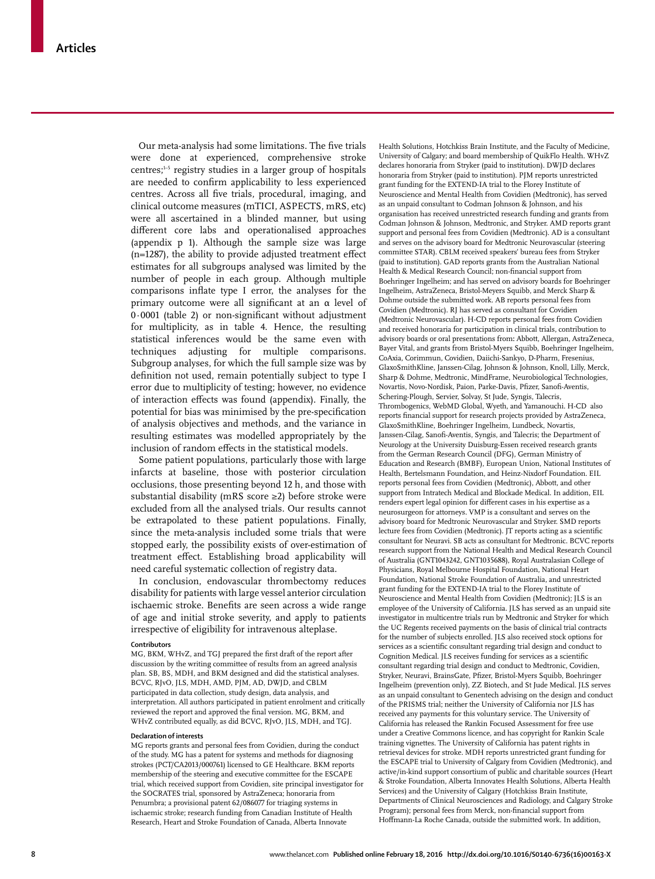Our meta-analysis had some limitations. The five trials were done at experienced, comprehensive stroke  $centres$ ;<sup>1-5</sup> registry studies in a larger group of hospitals are needed to confirm applicability to less experienced centres. Across all five trials, procedural, imaging, and clinical outcome measures (mTICI, ASPECTS, mRS, etc) were all ascertained in a blinded manner, but using different core labs and operationalised approaches (appendix p 1). Although the sample size was large  $(n=1287)$ , the ability to provide adjusted treatment effect estimates for all subgroups analysed was limited by the number of people in each group. Although multiple comparisons inflate type I error, the analyses for the primary outcome were all significant at an  $\alpha$  level of  $0.0001$  (table 2) or non-significant without adjustment for multiplicity, as in table 4. Hence, the resulting statistical inferences would be the same even with techniques adjusting for multiple comparisons. Subgroup analyses, for which the full sample size was by definition not used, remain potentially subject to type I error due to multiplicity of testing; however, no evidence of interaction effects was found (appendix). Finally, the potential for bias was minimised by the pre-specification of analysis objectives and methods, and the variance in resulting estimates was modelled appropriately by the inclusion of random effects in the statistical models.

Some patient populations, particularly those with large infarcts at baseline, those with posterior circulation occlusions, those presenting beyond 12 h, and those with substantial disability (mRS score ≥2) before stroke were excluded from all the analysed trials. Our results cannot be extrapolated to these patient populations. Finally, since the meta-analysis included some trials that were stopped early, the possibility exists of over-estimation of treatment effect. Establishing broad applicability will need careful systematic collection of registry data.

In conclusion, endovascular thrombectomy reduces disability for patients with large vessel anterior circulation ischaemic stroke. Benefits are seen across a wide range of age and initial stroke severity, and apply to patients irrespective of eligibility for intravenous alteplase.

#### **Contributors**

MG, BKM, WHvZ, and TGI prepared the first draft of the report after discussion by the writing committee of results from an agreed analysis plan. SB, BS, MDH, and BKM designed and did the statistical analyses. BCVC, RJvO, JLS, MDH, AMD, PJM, AD, DWJD, and CBLM participated in data collection, study design, data analysis, and interpretation. All authors participated in patient enrolment and critically reviewed the report and approved the final version. MG, BKM, and WHvZ contributed equally, as did BCVC, RJvO, JLS, MDH, and TGJ.

#### **Declaration of interests**

MG reports grants and personal fees from Covidien, during the conduct of the study. MG has a patent for systems and methods for diagnosing strokes (PCT/CA2013/000761) licensed to GE Healthcare. BKM reports membership of the steering and executive committee for the ESCAPE trial, which received support from Covidien, site principal investigator for the SOCRATES trial, sponsored by AstraZeneca; honoraria from Penumbra; a provisional patent 62/086077 for triaging systems in ischaemic stroke; research funding from Canadian Institute of Health Research, Heart and Stroke Foundation of Canada, Alberta Innovate

Health Solutions, Hotchkiss Brain Institute, and the Faculty of Medicine, University of Calgary; and board membership of QuikFlo Health. WHvZ declares honoraria from Stryker (paid to institution). DWJD declares honoraria from Stryker (paid to institution). PJM reports unrestricted grant funding for the EXTEND-IA trial to the Florey Institute of Neuroscience and Mental Health from Covidien (Medtronic), has served as an unpaid consultant to Codman Johnson & Johnson, and his organisation has received unrestricted research funding and grants from Codman Johnson & Johnson, Medtronic, and Stryker. AMD reports grant support and personal fees from Covidien (Medtronic). AD is a consultant and serves on the advisory board for Medtronic Neurovascular (steering committee STAR). CBLM received speakers' bureau fees from Stryker (paid to institution). GAD reports grants from the Australian National Health & Medical Research Council: non-financial support from Boehringer Ingelheim; and has served on advisory boards for Boehringer Ingelheim, AstraZeneca, Bristol-Meyers Squibb, and Merck Sharp & Dohme outside the submitted work. AB reports personal fees from Covidien (Medtronic). RJ has served as consultant for Covidien (Medtronic Neurovascular). H-CD reports personal fees from Covidien and received honoraria for participation in clinical trials, contribution to advisory boards or oral presentations from**:** Abbott, Allergan, AstraZeneca, Bayer Vital, and grants from Bristol-Myers Squibb, Boehringer Ingelheim, CoAxia, Corimmun, Covidien, Daiichi-Sankyo, D-Pharm, Fresenius, GlaxoSmithKline, Janssen-Cilag, Johnson & Johnson, Knoll, Lilly, Merck, Sharp & Dohme, Medtronic, MindFrame, Neurobiological Technologies, Novartis, Novo-Nordisk, Paion, Parke-Davis, Pfizer, Sanofi-Aventis, Schering-Plough, Servier, Solvay, St Jude, Syngis, Talecris, Thrombogenics, WebMD Global, Wyeth, and Yamanouchi. H-CD also reports financial support for research projects provided by AstraZeneca, GlaxoSmithKline, Boehringer Ingelheim, Lundbeck, Novartis, Janssen-Cilag, Sanofi -Aventis, Syngis, and Talecris; the Department of Neurology at the University Duisburg-Essen received research grants from the German Research Council (DFG), German Ministry of Education and Research (BMBF), European Union, National Institutes of Health, Bertelsmann Foundation, and Heinz-Nixdorf Foundation. EIL reports personal fees from Covidien (Medtronic), Abbott, and other support from Intratech Medical and Blockade Medical. In addition, EIL renders expert legal opinion for different cases in his expertise as a neurosurgeon for attorneys. VMP is a consultant and serves on the advisory board for Medtronic Neurovascular and Stryker. SMD reports lecture fees from Covidien (Medtronic). JT reports acting as a scientific consultant for Neuravi. SB acts as consultant for Medtronic. BCVC reports research support from the National Health and Medical Research Council of Australia (GNT1043242, GNT1035688), Royal Australasian College of Physicians, Royal Melbourne Hospital Foundation, National Heart Foundation, National Stroke Foundation of Australia, and unrestricted grant funding for the EXTEND-IA trial to the Florey Institute of Neuroscience and Mental Health from Covidien (Medtronic); JLS is an employee of the University of California. JLS has served as an unpaid site investigator in multicentre trials run by Medtronic and Stryker for which the UC Regents received payments on the basis of clinical trial contracts for the number of subjects enrolled. JLS also received stock options for services as a scientific consultant regarding trial design and conduct to Cognition Medical. JLS receives funding for services as a scientific consultant regarding trial design and conduct to Medtronic, Covidien, Stryker, Neuravi, BrainsGate, Pfizer, Bristol-Myers Squibb, Boehringer Ingelheim (prevention only), ZZ Biotech, and St Jude Medical. JLS serves as an unpaid consultant to Genentech advising on the design and conduct of the PRISMS trial; neither the University of California nor JLS has received any payments for this voluntary service. The University of California has released the Rankin Focused Assessment for free use under a Creative Commons licence, and has copyright for Rankin Scale training vignettes. The University of California has patent rights in retrieval devices for stroke. MDH reports unrestricted grant funding for the ESCAPE trial to University of Calgary from Covidien (Medtronic), and active/in-kind support consortium of public and charitable sources (Heart & Stroke Foundation, Alberta Innovates Health Solutions, Alberta Health Services) and the University of Calgary (Hotchkiss Brain Institute, Departments of Clinical Neurosciences and Radiology, and Calgary Stroke Program); personal fees from Merck, non-financial support from Hoffmann-La Roche Canada, outside the submitted work. In addition,